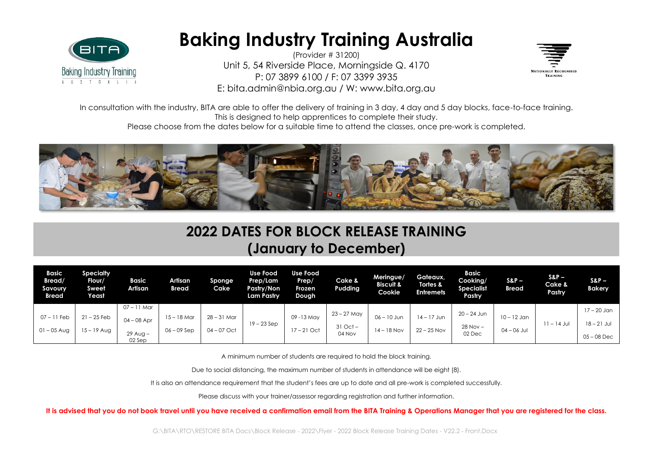

## **Baking Industry Training Australia**

(Provider # 31200) Unit 5, 54 Riverside Place, Morningside Q. 4170 P: 07 3899 6100 / F: 07 3399 3935 E: bita.admin@nbia.org.au / W: www.bita.org.au



In consultation with the industry, BITA are able to offer the delivery of training in 3 day, 4 day and 5 day blocks, face-to-face training. This is designed to help apprentices to complete their study.

Please choose from the dates below for a suitable time to attend the classes, once pre-work is completed.



## **2022 DATES FOR BLOCK RELEASE TRAINING (January to December)**

| Basic<br>Bread/<br>Savoury<br><b>Bread</b> | Specialty<br>Flour/<br>Sweet<br>Yeast | Basic<br>Artisan     | Artisan<br>Bread | Sponge<br>Cake | <b>Use Food</b><br>Prep/Lam<br>Pastry/Non<br>Lam Pastry | <b>Use Food</b><br>Prep/<br>Frozen<br>Dough | Cake &<br>Pudding | Meringue/<br><b>Biscuit &amp;</b><br>Cookie | Gateaux,<br>Tortes &<br><b>Entremets</b> | <b>Basic</b><br>Cooking/<br><b>Specialist</b><br>Pastry | $S\&P-$<br><b>Bread</b> | $SRP -$<br>Cake &<br>Pastry | $SRP-$<br><b>Bakery</b> |
|--------------------------------------------|---------------------------------------|----------------------|------------------|----------------|---------------------------------------------------------|---------------------------------------------|-------------------|---------------------------------------------|------------------------------------------|---------------------------------------------------------|-------------------------|-----------------------------|-------------------------|
|                                            |                                       | 07 – 11 Mar          |                  |                |                                                         |                                             |                   |                                             |                                          |                                                         |                         |                             | 17 – 20 Jan             |
| $07 - 11$ Feb                              | $21 - 25$ Feb                         | $04 - 08$ Apr        | $15 - 18$ Mar    | $28 - 31$ Mar  |                                                         | 09 - 13 May                                 | 23 – 27 May       | $06 - 10$ Jun                               | $14 - 17$ Jun                            | 20 – 24 Jun                                             | $10 - 12$ Jan           |                             |                         |
| $01 - 05$ Aug                              | $15 - 19$ Aug                         |                      | $06 - 09$ Sep    | $04 - 07$ Oct  | $19 - 23$ Sep                                           | $17 - 21$ Oct                               | $31$ Oct $-$      | $14 - 18$ Nov                               | $22 - 25$ Nov                            | $28$ Nov $-$                                            | $04 - 06$ Jul           | $11 - 14$ Jul               | $18 - 21$ Jul           |
|                                            |                                       | $29$ Aug -<br>02 Sep |                  |                |                                                         |                                             | 04 Nov            |                                             |                                          | 02 Dec                                                  |                         |                             | $05 - 08$ Dec           |

A minimum number of students are required to hold the block training.

Due to social distancing, the maximum number of students in attendance will be eight (8).

It is also an attendance requirement that the student's fees are up to date and all pre-work is completed successfully.

Please discuss with your trainer/assessor regarding registration and further information.

**It is advised that you do not book travel until you have received a confirmation email from the BITA Training & Operations Manager that you are registered for the class.**